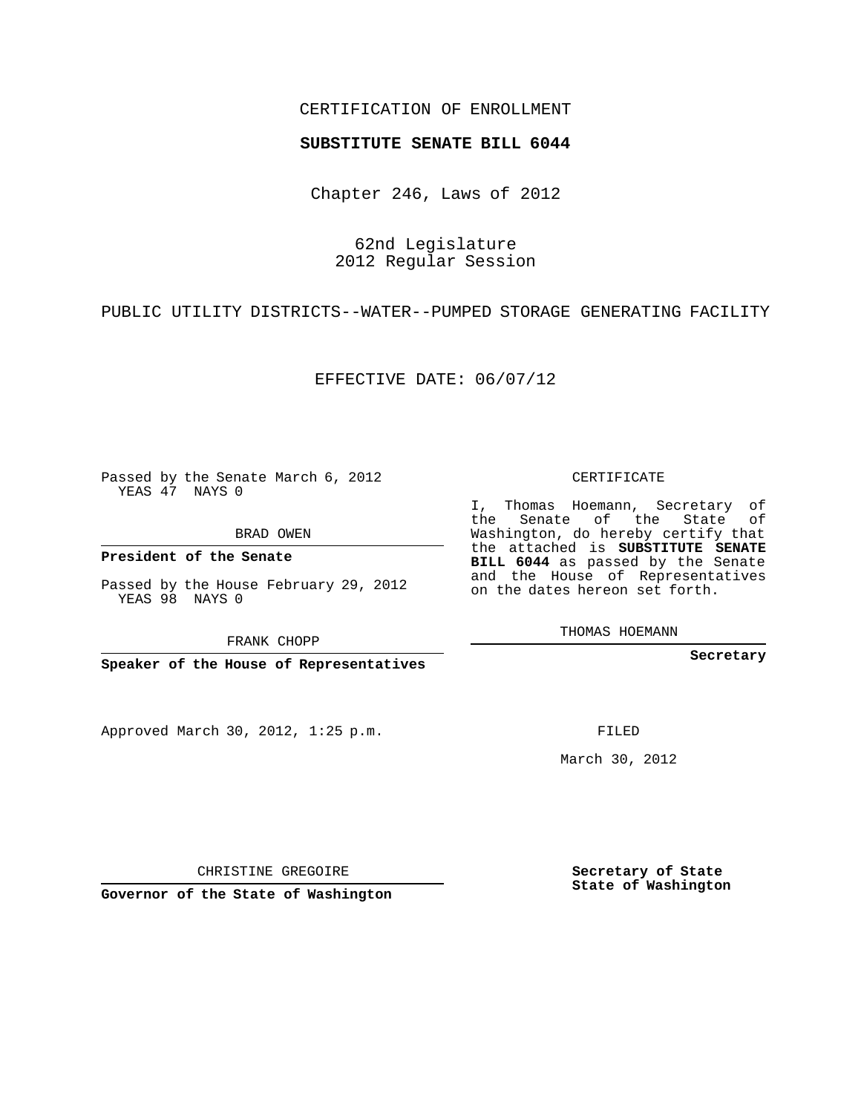## CERTIFICATION OF ENROLLMENT

## **SUBSTITUTE SENATE BILL 6044**

Chapter 246, Laws of 2012

62nd Legislature 2012 Regular Session

PUBLIC UTILITY DISTRICTS--WATER--PUMPED STORAGE GENERATING FACILITY

EFFECTIVE DATE: 06/07/12

Passed by the Senate March 6, 2012 YEAS 47 NAYS 0

BRAD OWEN

**President of the Senate**

Passed by the House February 29, 2012 YEAS 98 NAYS 0

FRANK CHOPP

**Speaker of the House of Representatives**

Approved March 30, 2012, 1:25 p.m.

CERTIFICATE

I, Thomas Hoemann, Secretary of the Senate of the State of Washington, do hereby certify that the attached is **SUBSTITUTE SENATE BILL 6044** as passed by the Senate and the House of Representatives on the dates hereon set forth.

THOMAS HOEMANN

**Secretary**

FILED

March 30, 2012

**Secretary of State State of Washington**

CHRISTINE GREGOIRE

**Governor of the State of Washington**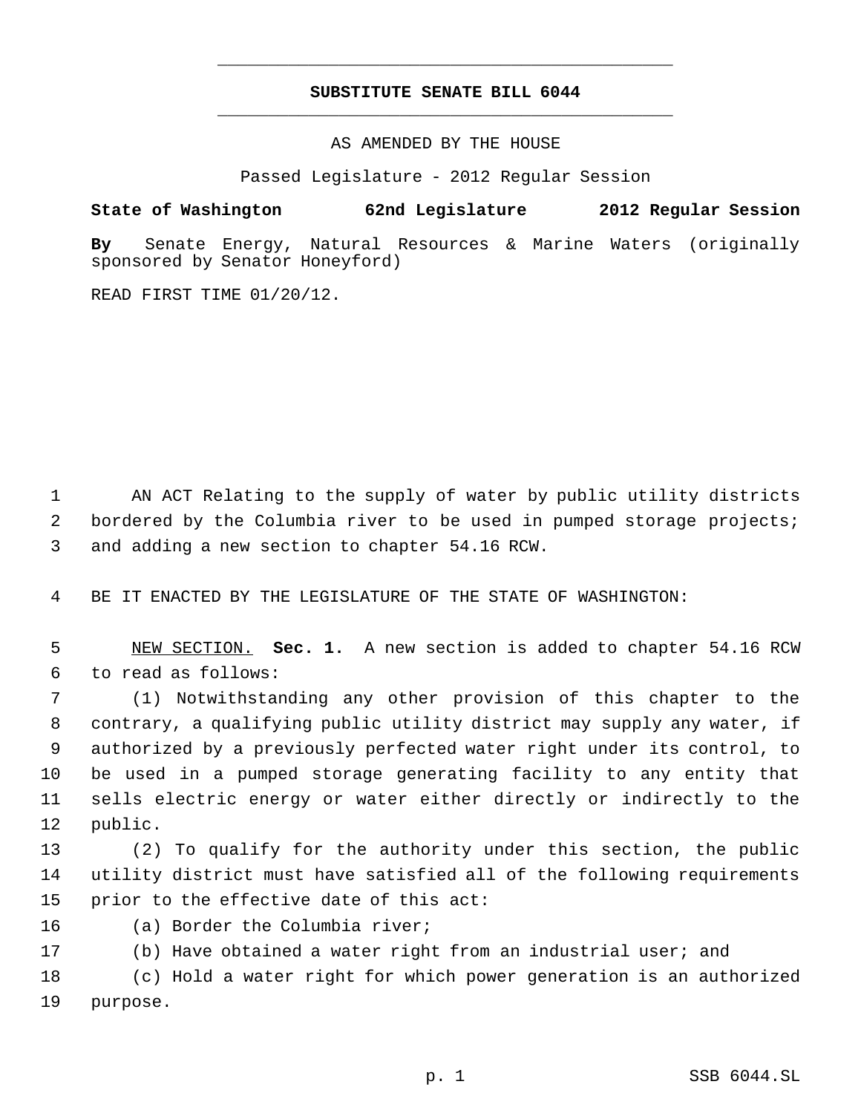## **SUBSTITUTE SENATE BILL 6044** \_\_\_\_\_\_\_\_\_\_\_\_\_\_\_\_\_\_\_\_\_\_\_\_\_\_\_\_\_\_\_\_\_\_\_\_\_\_\_\_\_\_\_\_\_

\_\_\_\_\_\_\_\_\_\_\_\_\_\_\_\_\_\_\_\_\_\_\_\_\_\_\_\_\_\_\_\_\_\_\_\_\_\_\_\_\_\_\_\_\_

AS AMENDED BY THE HOUSE

Passed Legislature - 2012 Regular Session

## **State of Washington 62nd Legislature 2012 Regular Session**

**By** Senate Energy, Natural Resources & Marine Waters (originally sponsored by Senator Honeyford)

READ FIRST TIME 01/20/12.

 AN ACT Relating to the supply of water by public utility districts bordered by the Columbia river to be used in pumped storage projects; and adding a new section to chapter 54.16 RCW.

BE IT ENACTED BY THE LEGISLATURE OF THE STATE OF WASHINGTON:

 NEW SECTION. **Sec. 1.** A new section is added to chapter 54.16 RCW to read as follows:

 (1) Notwithstanding any other provision of this chapter to the contrary, a qualifying public utility district may supply any water, if authorized by a previously perfected water right under its control, to be used in a pumped storage generating facility to any entity that sells electric energy or water either directly or indirectly to the public.

 (2) To qualify for the authority under this section, the public utility district must have satisfied all of the following requirements prior to the effective date of this act:

(a) Border the Columbia river;

(b) Have obtained a water right from an industrial user; and

 (c) Hold a water right for which power generation is an authorized purpose.